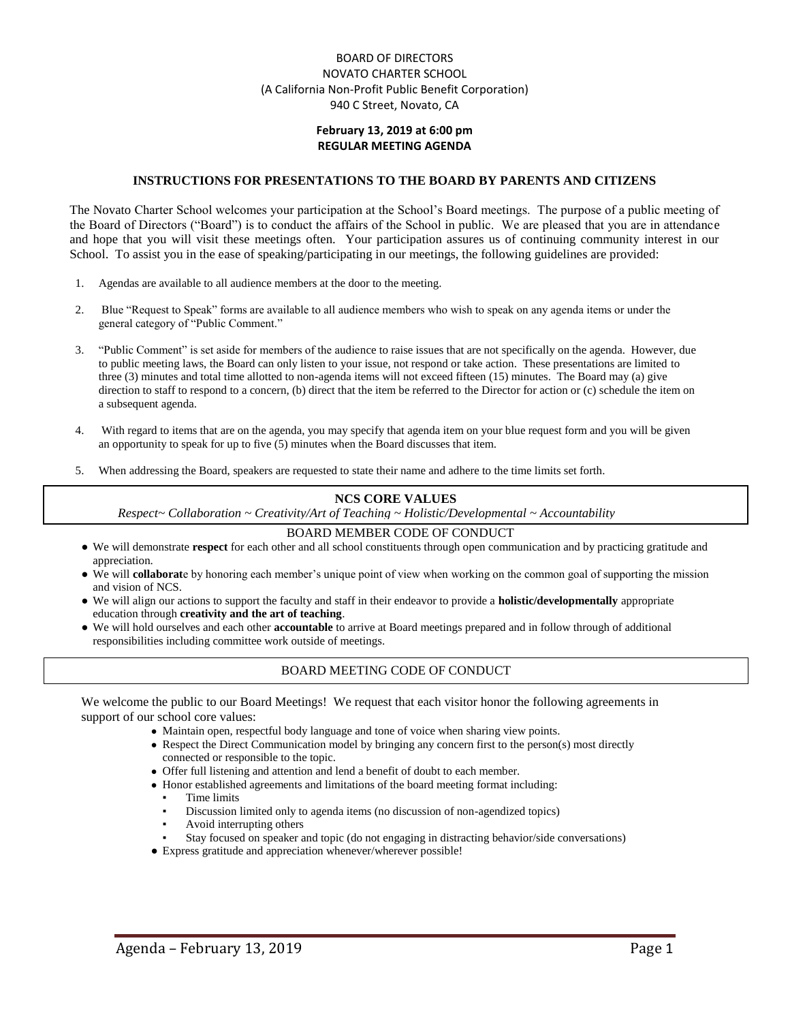### BOARD OF DIRECTORS NOVATO CHARTER SCHOOL (A California Non-Profit Public Benefit Corporation) 940 C Street, Novato, CA

#### **February 13, 2019 at 6:00 pm REGULAR MEETING AGENDA**

#### **INSTRUCTIONS FOR PRESENTATIONS TO THE BOARD BY PARENTS AND CITIZENS**

The Novato Charter School welcomes your participation at the School's Board meetings. The purpose of a public meeting of the Board of Directors ("Board") is to conduct the affairs of the School in public. We are pleased that you are in attendance and hope that you will visit these meetings often. Your participation assures us of continuing community interest in our School. To assist you in the ease of speaking/participating in our meetings, the following guidelines are provided:

- 1. Agendas are available to all audience members at the door to the meeting.
- 2. Blue "Request to Speak" forms are available to all audience members who wish to speak on any agenda items or under the general category of "Public Comment."
- 3. "Public Comment" is set aside for members of the audience to raise issues that are not specifically on the agenda. However, due to public meeting laws, the Board can only listen to your issue, not respond or take action. These presentations are limited to three (3) minutes and total time allotted to non-agenda items will not exceed fifteen (15) minutes. The Board may (a) give direction to staff to respond to a concern, (b) direct that the item be referred to the Director for action or (c) schedule the item on a subsequent agenda.
- 4. With regard to items that are on the agenda, you may specify that agenda item on your blue request form and you will be given an opportunity to speak for up to five (5) minutes when the Board discusses that item.
- 5. When addressing the Board, speakers are requested to state their name and adhere to the time limits set forth.

#### **NCS CORE VALUES**

*Respect~ Collaboration ~ Creativity/Art of Teaching ~ Holistic/Developmental ~ Accountability*

#### BOARD MEMBER CODE OF CONDUCT

- We will demonstrate **respect** for each other and all school constituents through open communication and by practicing gratitude and appreciation.
- We will **collaborat**e by honoring each member's unique point of view when working on the common goal of supporting the mission and vision of NCS.
- We will align our actions to support the faculty and staff in their endeavor to provide a **holistic/developmentally** appropriate education through **creativity and the art of teaching**.
- We will hold ourselves and each other **accountable** to arrive at Board meetings prepared and in follow through of additional responsibilities including committee work outside of meetings.

#### BOARD MEETING CODE OF CONDUCT

We welcome the public to our Board Meetings! We request that each visitor honor the following agreements in support of our school core values:

- Maintain open, respectful body language and tone of voice when sharing view points.
- Respect the Direct Communication model by bringing any concern first to the person(s) most directly connected or responsible to the topic.
- Offer full listening and attention and lend a benefit of doubt to each member.
- Honor established agreements and limitations of the board meeting format including:
	- Time limits
	- Discussion limited only to agenda items (no discussion of non-agendized topics)
	- Avoid interrupting others
	- Stay focused on speaker and topic (do not engaging in distracting behavior/side conversations)
- Express gratitude and appreciation whenever/wherever possible!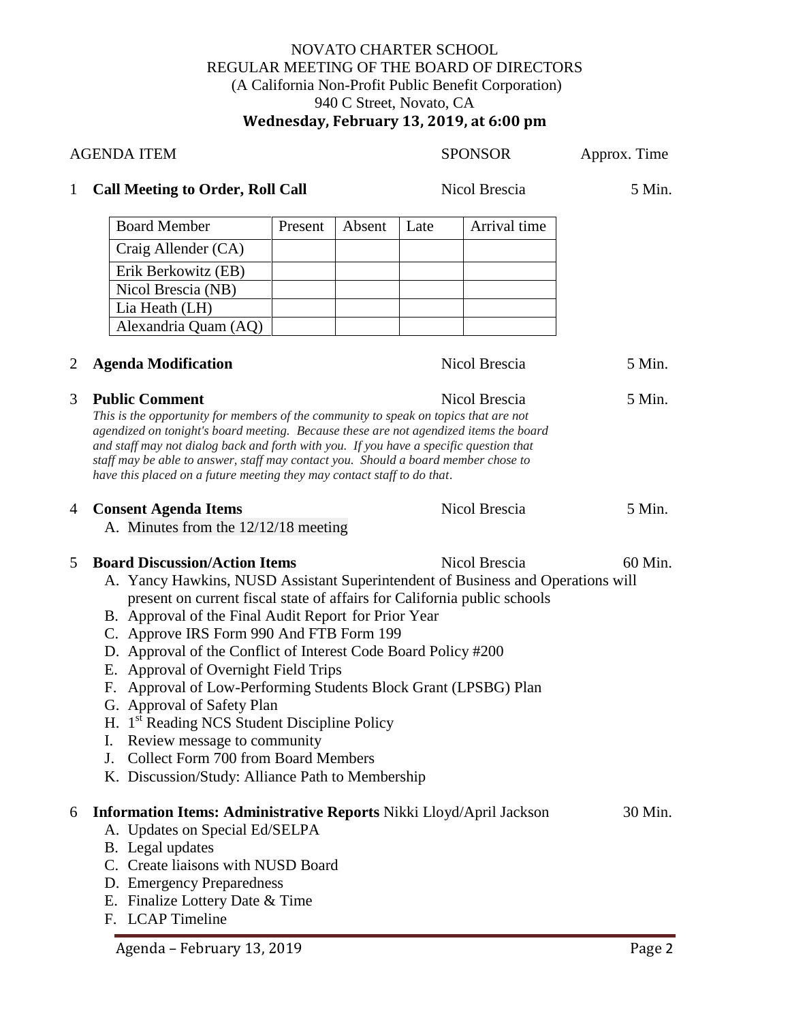## NOVATO CHARTER SCHOOL REGULAR MEETING OF THE BOARD OF DIRECTORS (A California Non-Profit Public Benefit Corporation) 940 C Street, Novato, CA **Wednesday, February 13, 2019, at 6:00 pm**

| <b>AGENDA ITEM</b> |                                                                                                                                                                                                                                                                                                                                                                                                                                                                                                                                                                                                                                                                                                                      |         |        |               | <b>SPONSOR</b> | Approx. Time |
|--------------------|----------------------------------------------------------------------------------------------------------------------------------------------------------------------------------------------------------------------------------------------------------------------------------------------------------------------------------------------------------------------------------------------------------------------------------------------------------------------------------------------------------------------------------------------------------------------------------------------------------------------------------------------------------------------------------------------------------------------|---------|--------|---------------|----------------|--------------|
| $\mathbf{1}$       | <b>Call Meeting to Order, Roll Call</b>                                                                                                                                                                                                                                                                                                                                                                                                                                                                                                                                                                                                                                                                              |         |        | Nicol Brescia |                | 5 Min.       |
|                    | <b>Board Member</b>                                                                                                                                                                                                                                                                                                                                                                                                                                                                                                                                                                                                                                                                                                  | Present | Absent | Late          | Arrival time   |              |
|                    | Craig Allender (CA)                                                                                                                                                                                                                                                                                                                                                                                                                                                                                                                                                                                                                                                                                                  |         |        |               |                |              |
|                    | Erik Berkowitz (EB)                                                                                                                                                                                                                                                                                                                                                                                                                                                                                                                                                                                                                                                                                                  |         |        |               |                |              |
|                    | Nicol Brescia (NB)                                                                                                                                                                                                                                                                                                                                                                                                                                                                                                                                                                                                                                                                                                   |         |        |               |                |              |
|                    | Lia Heath (LH)                                                                                                                                                                                                                                                                                                                                                                                                                                                                                                                                                                                                                                                                                                       |         |        |               |                |              |
|                    | Alexandria Quam (AQ)                                                                                                                                                                                                                                                                                                                                                                                                                                                                                                                                                                                                                                                                                                 |         |        |               |                |              |
| $\overline{2}$     | <b>Agenda Modification</b>                                                                                                                                                                                                                                                                                                                                                                                                                                                                                                                                                                                                                                                                                           |         |        |               | Nicol Brescia  | 5 Min.       |
| 3                  | 5 Min.<br><b>Public Comment</b><br>Nicol Brescia<br>This is the opportunity for members of the community to speak on topics that are not<br>agendized on tonight's board meeting. Because these are not agendized items the board<br>and staff may not dialog back and forth with you. If you have a specific question that<br>staff may be able to answer, staff may contact you. Should a board member chose to<br>have this placed on a future meeting they may contact staff to do that.                                                                                                                                                                                                                         |         |        |               |                |              |
| 4                  | <b>Consent Agenda Items</b><br>A. Minutes from the $12/12/18$ meeting                                                                                                                                                                                                                                                                                                                                                                                                                                                                                                                                                                                                                                                |         |        |               | Nicol Brescia  | 5 Min.       |
| 5                  | <b>Board Discussion/Action Items</b><br>A. Yancy Hawkins, NUSD Assistant Superintendent of Business and Operations will<br>present on current fiscal state of affairs for California public schools<br>B. Approval of the Final Audit Report for Prior Year<br>C. Approve IRS Form 990 And FTB Form 199<br>D. Approval of the Conflict of Interest Code Board Policy #200<br>E. Approval of Overnight Field Trips<br>F. Approval of Low-Performing Students Block Grant (LPSBG) Plan<br>G. Approval of Safety Plan<br>H. 1 <sup>st</sup> Reading NCS Student Discipline Policy<br>Review message to community<br>Ι.<br>Collect Form 700 from Board Members<br>J.<br>K. Discussion/Study: Alliance Path to Membership |         |        | Nicol Brescia | 60 Min.        |              |
| 6                  | Information Items: Administrative Reports Nikki Lloyd/April Jackson<br>A. Updates on Special Ed/SELPA<br>B. Legal updates<br>C. Create liaisons with NUSD Board<br>D. Emergency Preparedness<br>E. Finalize Lottery Date & Time<br>F. LCAP Timeline                                                                                                                                                                                                                                                                                                                                                                                                                                                                  |         |        |               |                | 30 Min.      |